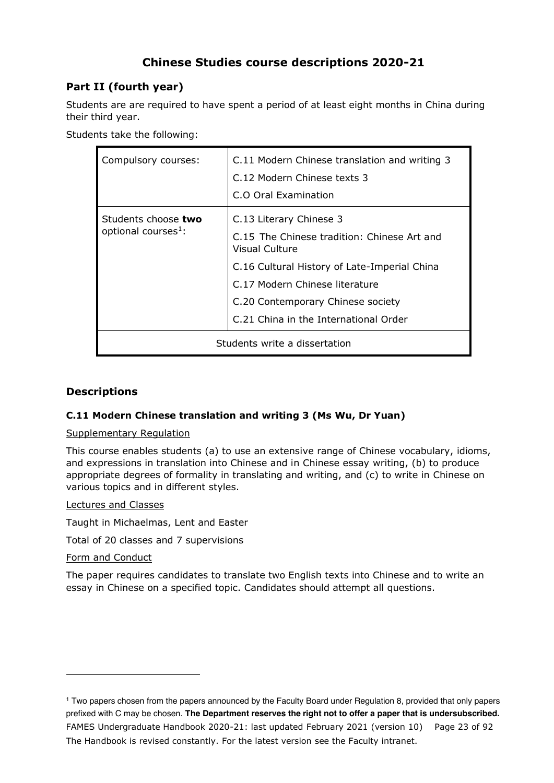# **Chinese Studies course descriptions 2020-21**

# **Part II (fourth year)**

Students are are required to have spent a period of at least eight months in China during their third year.

Students take the following:

| Compulsory courses:                                    | C.11 Modern Chinese translation and writing 3<br>C.12 Modern Chinese texts 3<br>C.O Oral Examination                                                                                                                                                            |
|--------------------------------------------------------|-----------------------------------------------------------------------------------------------------------------------------------------------------------------------------------------------------------------------------------------------------------------|
| Students choose two<br>optional courses <sup>1</sup> : | C.13 Literary Chinese 3<br>C.15 The Chinese tradition: Chinese Art and<br><b>Visual Culture</b><br>C.16 Cultural History of Late-Imperial China<br>C.17 Modern Chinese literature<br>C.20 Contemporary Chinese society<br>C.21 China in the International Order |
| Students write a dissertation                          |                                                                                                                                                                                                                                                                 |

# **Descriptions**

# **C.11 Modern Chinese translation and writing 3 (Ms Wu, Dr Yuan)**

## Supplementary Regulation

This course enables students (a) to use an extensive range of Chinese vocabulary, idioms, and expressions in translation into Chinese and in Chinese essay writing, (b) to produce appropriate degrees of formality in translating and writing, and (c) to write in Chinese on various topics and in different styles.

## Lectures and Classes

Taught in Michaelmas, Lent and Easter

Total of 20 classes and 7 supervisions

## Form and Conduct

The paper requires candidates to translate two English texts into Chinese and to write an essay in Chinese on a specified topic. Candidates should attempt all questions.

FAMES Undergraduate Handbook 2020-21: last updated February 2021 (version 10) Page 23 of 92 The Handbook is revised constantly. For the latest version see the Faculty intranet. <sup>1</sup> Two papers chosen from the papers announced by the Faculty Board under Regulation 8, provided that only papers prefixed with C may be chosen. **The Department reserves the right not to offer a paper that is undersubscribed.**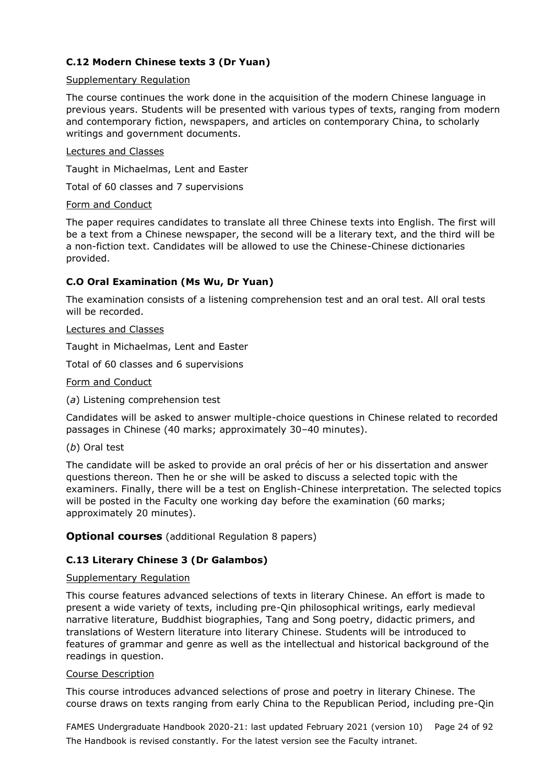# **C.12 Modern Chinese texts 3 (Dr Yuan)**

#### Supplementary Regulation

The course continues the work done in the acquisition of the modern Chinese language in previous years. Students will be presented with various types of texts, ranging from modern and contemporary fiction, newspapers, and articles on contemporary China, to scholarly writings and government documents.

#### Lectures and Classes

Taught in Michaelmas, Lent and Easter

Total of 60 classes and 7 supervisions

#### Form and Conduct

The paper requires candidates to translate all three Chinese texts into English. The first will be a text from a Chinese newspaper, the second will be a literary text, and the third will be a non-fiction text. Candidates will be allowed to use the Chinese-Chinese dictionaries provided.

# **C.O Oral Examination (Ms Wu, Dr Yuan)**

The examination consists of a listening comprehension test and an oral test. All oral tests will be recorded.

#### Lectures and Classes

Taught in Michaelmas, Lent and Easter

Total of 60 classes and 6 supervisions

Form and Conduct

(*a*) Listening comprehension test

Candidates will be asked to answer multiple-choice questions in Chinese related to recorded passages in Chinese (40 marks; approximately 30–40 minutes).

(*b*) Oral test

The candidate will be asked to provide an oral précis of her or his dissertation and answer questions thereon. Then he or she will be asked to discuss a selected topic with the examiners. Finally, there will be a test on English-Chinese interpretation. The selected topics will be posted in the Faculty one working day before the examination (60 marks; approximately 20 minutes).

## **Optional courses** (additional Regulation 8 papers)

# **C.13 Literary Chinese 3 (Dr Galambos)**

#### Supplementary Regulation

This course features advanced selections of texts in literary Chinese. An effort is made to present a wide variety of texts, including pre-Qin philosophical writings, early medieval narrative literature, Buddhist biographies, Tang and Song poetry, didactic primers, and translations of Western literature into literary Chinese. Students will be introduced to features of grammar and genre as well as the intellectual and historical background of the readings in question.

#### Course Description

This course introduces advanced selections of prose and poetry in literary Chinese. The course draws on texts ranging from early China to the Republican Period, including pre-Qin

FAMES Undergraduate Handbook 2020-21: last updated February 2021 (version 10) Page 24 of 92 The Handbook is revised constantly. For the latest version see the Faculty intranet.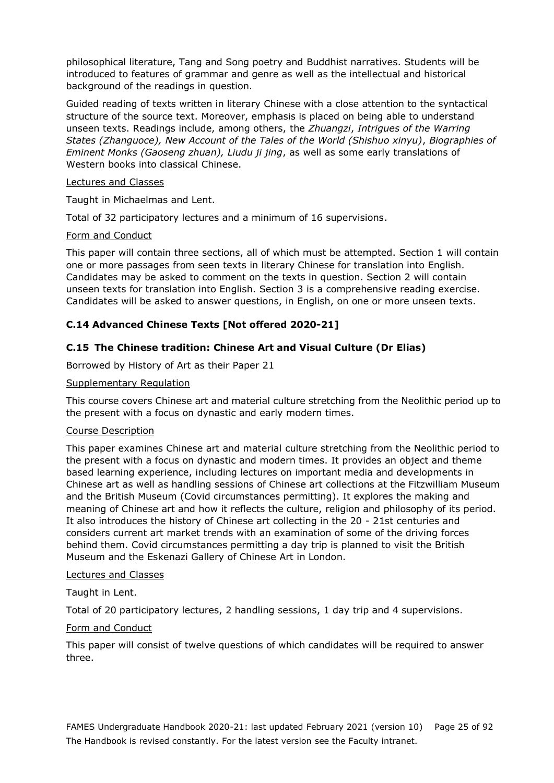philosophical literature, Tang and Song poetry and Buddhist narratives. Students will be introduced to features of grammar and genre as well as the intellectual and historical background of the readings in question.

Guided reading of texts written in literary Chinese with a close attention to the syntactical structure of the source text. Moreover, emphasis is placed on being able to understand unseen texts. Readings include, among others, the *Zhuangzi*, *Intrigues of the Warring States (Zhanguoce), New Account of the Tales of the World (Shishuo xinyu)*, *Biographies of Eminent Monks (Gaoseng zhuan), Liudu ji jing*, as well as some early translations of Western books into classical Chinese.

#### Lectures and Classes

Taught in Michaelmas and Lent.

Total of 32 participatory lectures and a minimum of 16 supervisions.

#### Form and Conduct

This paper will contain three sections, all of which must be attempted. Section 1 will contain one or more passages from seen texts in literary Chinese for translation into English. Candidates may be asked to comment on the texts in question. Section 2 will contain unseen texts for translation into English. Section 3 is a comprehensive reading exercise. Candidates will be asked to answer questions, in English, on one or more unseen texts.

## **C.14 Advanced Chinese Texts [Not offered 2020-21]**

# **C.15 The Chinese tradition: Chinese Art and Visual Culture (Dr Elias)**

Borrowed by History of Art as their Paper 21

#### Supplementary Regulation

This course covers Chinese art and material culture stretching from the Neolithic period up to the present with a focus on dynastic and early modern times.

#### Course Description

This paper examines Chinese art and material culture stretching from the Neolithic period to the present with a focus on dynastic and modern times. It provides an object and theme based learning experience, including lectures on important media and developments in Chinese art as well as handling sessions of Chinese art collections at the Fitzwilliam Museum and the British Museum (Covid circumstances permitting). It explores the making and meaning of Chinese art and how it reflects the culture, religion and philosophy of its period. It also introduces the history of Chinese art collecting in the 20 - 21st centuries and considers current art market trends with an examination of some of the driving forces behind them. Covid circumstances permitting a day trip is planned to visit the British Museum and the Eskenazi Gallery of Chinese Art in London.

## Lectures and Classes

Taught in Lent.

Total of 20 participatory lectures, 2 handling sessions, 1 day trip and 4 supervisions.

#### Form and Conduct

This paper will consist of twelve questions of which candidates will be required to answer three.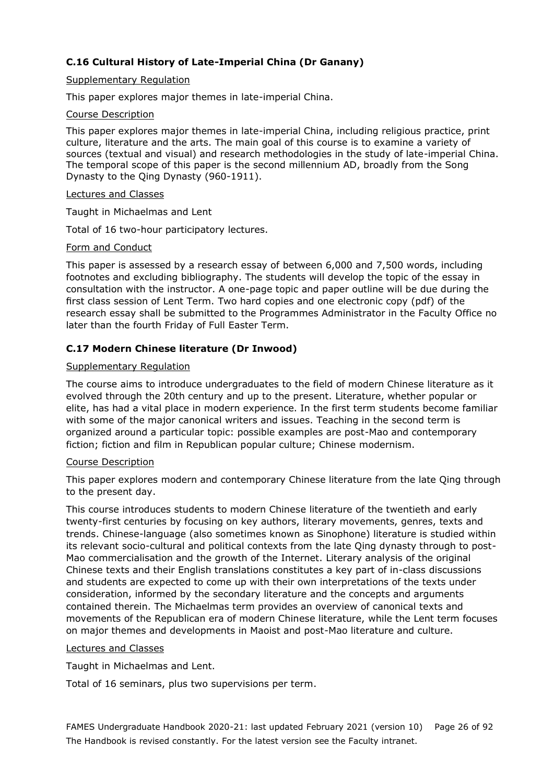# **C.16 Cultural History of Late-Imperial China (Dr Ganany)**

#### Supplementary Regulation

This paper explores major themes in late-imperial China.

#### Course Description

This paper explores major themes in late-imperial China, including religious practice, print culture, literature and the arts. The main goal of this course is to examine a variety of sources (textual and visual) and research methodologies in the study of late-imperial China. The temporal scope of this paper is the second millennium AD, broadly from the Song Dynasty to the Qing Dynasty (960-1911).

#### Lectures and Classes

Taught in Michaelmas and Lent

Total of 16 two-hour participatory lectures.

#### Form and Conduct

This paper is assessed by a research essay of between 6,000 and 7,500 words, including footnotes and excluding bibliography. The students will develop the topic of the essay in consultation with the instructor. A one-page topic and paper outline will be due during the first class session of Lent Term. Two hard copies and one electronic copy (pdf) of the research essay shall be submitted to the Programmes Administrator in the Faculty Office no later than the fourth Friday of Full Easter Term.

# **C.17 Modern Chinese literature (Dr Inwood)**

#### Supplementary Regulation

The course aims to introduce undergraduates to the field of modern Chinese literature as it evolved through the 20th century and up to the present. Literature, whether popular or elite, has had a vital place in modern experience. In the first term students become familiar with some of the major canonical writers and issues. Teaching in the second term is organized around a particular topic: possible examples are post-Mao and contemporary fiction; fiction and film in Republican popular culture; Chinese modernism.

#### Course Description

This paper explores modern and contemporary Chinese literature from the late Qing through to the present day.

This course introduces students to modern Chinese literature of the twentieth and early twenty-first centuries by focusing on key authors, literary movements, genres, texts and trends. Chinese-language (also sometimes known as Sinophone) literature is studied within its relevant socio-cultural and political contexts from the late Qing dynasty through to post-Mao commercialisation and the growth of the Internet. Literary analysis of the original Chinese texts and their English translations constitutes a key part of in-class discussions and students are expected to come up with their own interpretations of the texts under consideration, informed by the secondary literature and the concepts and arguments contained therein. The Michaelmas term provides an overview of canonical texts and movements of the Republican era of modern Chinese literature, while the Lent term focuses on major themes and developments in Maoist and post-Mao literature and culture.

## Lectures and Classes

Taught in Michaelmas and Lent.

Total of 16 seminars, plus two supervisions per term.